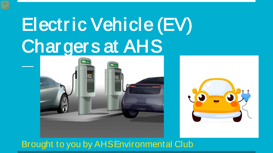# Electric Vehicle (EV) Chargers at AHS





#### Brought to you by AHS Environmental Club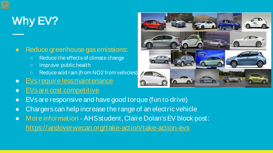# Why EV?

#### ● Reduce greenhouse gas emissions:

- Reduce the effects of climate change
- Improve public health
- Reduce acid rain (from NO2 from vehicles)
- [EVs require less maintenance](https://www.consumerreports.org/car-repair-maintenance/pay-less-for-vehicle-maintenance-with-an-ev/)
- [EVs are cost competitive](https://www.nytimes.com/interactive/2021/01/15/climate/electric-car-cost.html)



- EVs are responsive and have good torque (fun to drive)
- Chargers can help increase the range of an electric vehicle
- More information AHS student, Claire Dolan's EV block post: <https://andoverwecan.org/take-action/take-action-evs>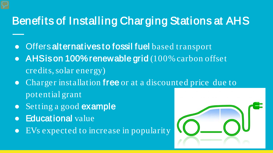#### Benefits of Installing Charging Stations at AHS

- Offers alternatives to fossil fuel based transport
- AHSis on 100% renewable grid (100% carbon offset credits, solar energy)
- Charger installation free or at a discounted price due to potential grant
- Setting a good **example**
- **Educational value**
- EVs expected to increase in popularity

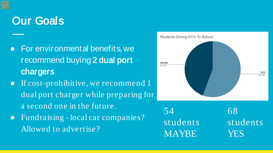#### Our Goals

- For environmental benefits, we recommend buying 2 dual port chargers
- If cost-prohibitive, we recommend 1 dual port charger while preparing for a second one in the future.
- Fundraising local car companies? Allowed to advertise?



54 students MAYBE 68 students YES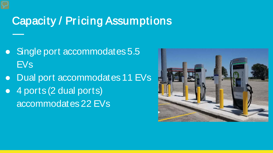#### Capacity / Pricing Assumptions

- Single port accommodates 5.5 EVs
- Dual port accommodates 11 EVs
- 4 ports (2 dual ports) accommodates 22 EVs

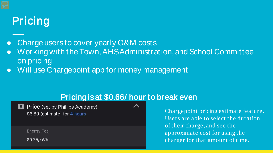## Pricing

- Charge users to cover yearly O&M costs
- Working with the Town, AHS Administration, and School Committee on pricing
- Will use Chargepoint app for money management

#### Pricing is at \$0.66/ hour to break even

ᄉ

 $\lceil 5 \rceil$ **Price** (set by Phillips Academy) \$6.60 (estimate) for 4 hours

**Energy Fee** 

\$0.25/kWh

Chargepoint pricing estimate feature. Users are able to select the duration of their charge, and see the approximate cost for using the charger for that amount of time.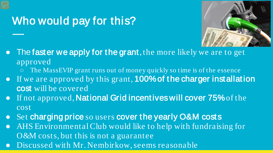#### Who would pay for this?



- The faster we apply for the grant, the more likely we are to get approved
	- The MassEVIP grant runs out of money quickly so time is of the essence
- If we are approved by this grant, 100% of the charger installation cost will be covered
- If not approved, National Grid incentives will cover 75%of the cost
- Set charging price so users cover the yearly O&M costs
- AHS Environmental Club would like to help with fundraising for O&M costs, but this is not a guarantee
- Discussed with Mr. Nembirkow, seems reasonable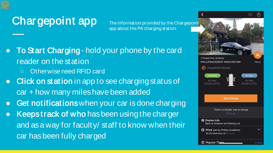### Chargepoint app

The information provided by the Chargepoint app about the PA charging station

- To Start Charging hold your phone by the card reader on the station
	- Otherwise need RFID card
- Click on station in app to see charging status of car + how many miles have been added
- Get notifications when your car is done charging
- Keepstrack of who has been using the charger and as a way for faculty/ staff to know when their car has been fully charged

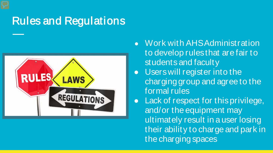#### Rules and Regulations



- Work with AHS Administration to develop rulesthat are fair to students and faculty
- Users will register into the charging group and agree to the formal rules
- Lack of respect for this privilege, and/or the equipment may ultimately result in a user losing their ability to charge and park in the charging spaces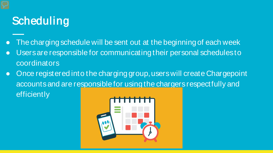## **Scheduling**

- The charging schedule will be sent out at the beginning of each week
- Users are responsible for communicating their personal schedules to coordinators
- Once registered into the charging group, users will create Chargepoint accounts and are responsible for using the chargers respectfully and efficiently

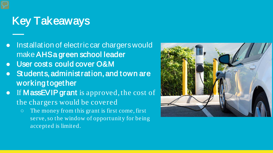#### Key Takeaways

- Installation of electric car chargers would makeAHS a green school leader
- User costs could cover O&M
- Students, administration, and town are working together
- $\bullet$  If MassEVIP grant is approved, the cost of the chargers would be covered
	- The money from this grant is first come, first serve, so the window of opportunity for being accepted is limited.

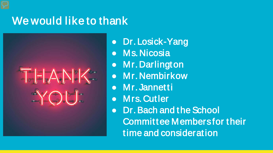#### We would like to thank



- Dr. Losick-Yang
- **Ms. Nicosia**
- Mr. Darlington
- Mr. Nembirkow
- Mr. Jannetti
- **Mrs. Cutler**
- Dr. Bach and the School Committee Members for their time and consideration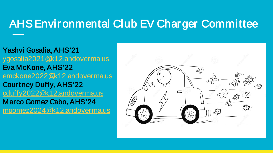#### AHS Environmental Club EV Charger Committee

Yashvi Gosalia, AHS '21 [ygosalia2021@k12.andoverma.us](mailto:ygosalia2021@k12.andoverma.us) Eva McKone, AHS '22 [emckone2022@k12.andoverma.us](mailto:emckone2022@k12.andoverma.us) Courtney Duffy, AHS '22 [cduffy2022@k12.andoverma.us](mailto:cduffy2022@k12.andoverma.us) Marco Gomez Cabo, AHS '24 [mgomez2024@k12.andoverma.us](mailto:mgomez2024@k12.andoverma.us)